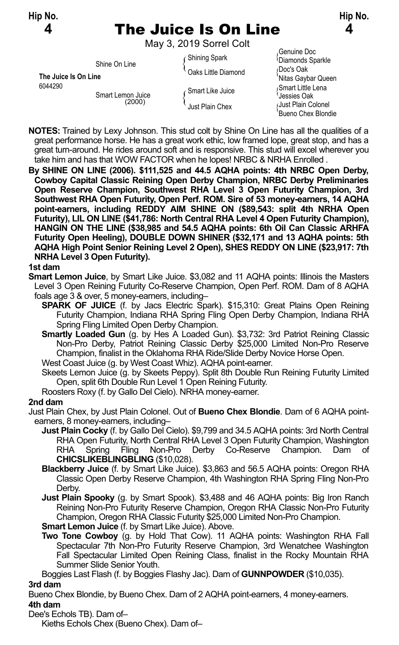## **4** The Juice Is On Line **4**

May 3, 2019 Sorrel Colt

**The Juice Is On Line** Coaks Little Diamond Music Coaks Little Diamond Music Gaybar Queen<br>
6044290 Mitas Gaybar Queen<br>
Smart Little Lang

Smart Lemon Juice<br>(2000)

Genuine Doc Shining Spark <br>
Diamonds Sparkle Shine On Line The Shining Spark<br>Coaks Little Diamond { Doc's Oak Observed to the Sparkle  $\int_{\mathcal{A}}$ Smart Like Juice  $\int_{\mathcal{A}}$ Smart Little Lena  $\int_{\mathcal{A}}$ Jessies Oak on Juice (2000)<br>(2000) { Just Plain Chex { Just Plain Colonel Bueno Chex Blondie

**NOTES:** Trained by Lexy Johnson. This stud colt by Shine On Line has all the qualities of a great performance horse. He has a great work ethic, low framed lope, great stop, and has a great turn-around. He rides around soft and is responsive. This stud will excel wherever you take him and has that WOW FACTOR when he lopes! NRBC & NRHA Enrolled .

**By SHINE ON LINE (2006). \$111,525 and 44.5 AQHA points: 4th NRBC Open Derby, Cowboy Capital Classic Reining Open Derby Champion, NRBC Derby Preliminaries Open Reserve Champion, Southwest RHA Level 3 Open Futurity Champion, 3rd Southwest RHA Open Futurity, Open Perf. ROM. Sire of 53 money-earners, 14 AQHA point-earners, including REDDY AIM SHINE ON (\$89,543: split 4th NRHA Open Futurity), LIL ON LINE (\$41,786: North Central RHA Level 4 Open Futurity Champion), HANGIN ON THE LINE (\$38,985 and 54.5 AQHA points: 6th Oil Can Classic ARHFA Futurity Open Heeling), DOUBLE DOWN SHINER (\$32,171 and 13 AQHA points: 5th AQHA High Point Senior Reining Level 2 Open), SHES REDDY ON LINE (\$23,917: 7th NRHA Level 3 Open Futurity).**

## **1st dam**

**Smart Lemon Juice**, by Smart Like Juice. \$3,082 and 11 AQHA points: Illinois the Masters Level 3 Open Reining Futurity Co-Reserve Champion, Open Perf. ROM. Dam of 8 AQHA foals age 3 & over, 5 money-earners, including–

**SPARK OF JUICE** (f. by Jacs Electric Spark). \$15,310: Great Plains Open Reining Futurity Champion, Indiana RHA Spring Fling Open Derby Champion, Indiana RHA Spring Fling Limited Open Derby Champion.

- **Smartly Loaded Gun** (g. by Hes A Loaded Gun). \$3,732: 3rd Patriot Reining Classic Non-Pro Derby, Patriot Reining Classic Derby \$25,000 Limited Non-Pro Reserve Champion, finalist in the Oklahoma RHA Ride/Slide Derby Novice Horse Open.
- West Coast Juice (g. by West Coast Whiz). AQHA point-earner.
- Skeets Lemon Juice (g. by Skeets Peppy). Split 8th Double Run Reining Futurity Limited Open, split 6th Double Run Level 1 Open Reining Futurity.
- Roosters Roxy (f. by Gallo Del Cielo). NRHA money-earner.

## **2nd dam**

Just Plain Chex, by Just Plain Colonel. Out of **Bueno Chex Blondie**. Dam of 6 AQHA pointearners, 8 money-earners, including–

- **Just Plain Cocky** (f. by Gallo Del Cielo). \$9,799 and 34.5 AQHA points: 3rd North Central RHA Open Futurity, North Central RHA Level 3 Open Futurity Champion, Washington RHA Spring Fling Non-Pro Derby Co-Reserve Champion. Dam of **CHICSLIKEBLINGBLING** (\$10,028).
- **Blackberry Juice** (f. by Smart Like Juice). \$3,863 and 56.5 AQHA points: Oregon RHA Classic Open Derby Reserve Champion, 4th Washington RHA Spring Fling Non-Pro Derby.
- **Just Plain Spooky** (g. by Smart Spook). \$3,488 and 46 AQHA points: Big Iron Ranch Reining Non-Pro Futurity Reserve Champion, Oregon RHA Classic Non-Pro Futurity Champion, Oregon RHA Classic Futurity \$25,000 Limited Non-Pro Champion.

**Smart Lemon Juice** (f. by Smart Like Juice). Above.

**Two Tone Cowboy** (g. by Hold That Cow). 11 AQHA points: Washington RHA Fall Spectacular 7th Non-Pro Futurity Reserve Champion, 3rd Wenatchee Washington Fall Spectacular Limited Open Reining Class, finalist in the Rocky Mountain RHA Summer Slide Senior Youth.

Boggies Last Flash (f. by Boggies Flashy Jac). Dam of **GUNNPOWDER** (\$10,035).

## **3rd dam**

Bueno Chex Blondie, by Bueno Chex. Dam of 2 AQHA point-earners, 4 money-earners. **4th dam**

Dee's Echols TB). Dam of–

Kieths Echols Chex (Bueno Chex). Dam of–